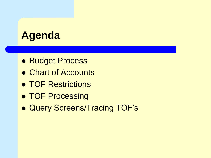#### **Agenda**

- ⚫ Budget Process
- ⚫ Chart of Accounts
- ⚫ TOF Restrictions
- ⚫ TOF Processing
- ⚫ Query Screens/Tracing TOF's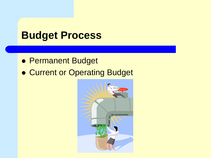#### **Budget Process**

- ⚫ Permanent Budget
- ⚫ Current or Operating Budget

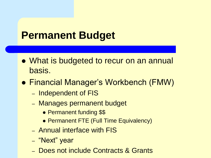#### **Permanent Budget**

- ⚫ What is budgeted to recur on an annual basis.
- ⚫ Financial Manager's Workbench (FMW)
	- Independent of FIS
	- Manages permanent budget
		- Permanent funding \$\$
		- ⚫ Permanent FTE (Full Time Equivalency)
	- Annual interface with FIS
	- "Next" year
	- Does not include Contracts & Grants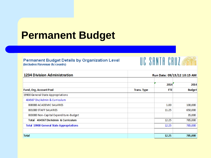#### **Permanent Budget**

#### Permanent Budget Details by Organization Level (Includes Revenue Accounts)





| <b>1234 Division Administration</b>             |                    | Run Date: 09/15/12 10:15 AM |               |  |
|-------------------------------------------------|--------------------|-----------------------------|---------------|--|
|                                                 |                    | 2014                        | 2014          |  |
| Fund, Org, Account Pool                         | <b>Trans. Type</b> | <b>FTE</b>                  | <b>Budget</b> |  |
| 19900 General State Appropriations              |                    |                             |               |  |
| 404567 Div/Admin & Curriculum                   |                    |                             |               |  |
| B00000 ACADEMIC SALARIES                        |                    | 1.00                        | 100,000       |  |
| <b>B01000 STAFF SALARIES</b>                    |                    | 11.25                       | 650,000       |  |
| B03000 Non-Capital Expenditure-Budget           |                    |                             | 35,000        |  |
| Total 404567 Div/Admin & Curriculum             |                    | 12.25                       | 785,000       |  |
| <b>Total 19900 General State Appropriations</b> |                    | 12.25                       | 785,000       |  |
|                                                 |                    |                             |               |  |
| <b>Total</b>                                    |                    | 12.25                       | 785,000       |  |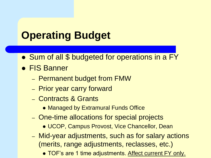## **Operating Budget**

- Sum of all \$ budgeted for operations in a FY
- ⚫ FIS Banner
	- Permanent budget from FMW
	- Prior year carry forward
	- Contracts & Grants
		- ⚫ Managed by Extramural Funds Office
	- One-time allocations for special projects
		- ⚫ UCOP, Campus Provost, Vice Chancellor, Dean
	- Mid-year adjustments, such as for salary actions (merits, range adjustments, reclasses, etc.)
		- TOF's are 1 time adjustments. Affect current FY only.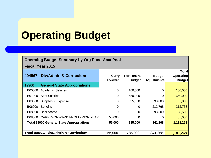# **Operating Budget**

#### **Operating Budget Summary by Org-Fund-Acct Pool**

**Fiscal Year 2015**

|        |                                                 |         |                  |                    | Total            |
|--------|-------------------------------------------------|---------|------------------|--------------------|------------------|
| 404567 | <b>Div/Admin &amp; Curriculum</b>               | Carry   | <b>Permanent</b> | <b>Budget</b>      | <b>Operating</b> |
|        |                                                 | Forward | <b>Budget</b>    | <b>Adjustments</b> | <b>Budget</b>    |
| 19900  | <b>General State Appropriations</b>             |         |                  |                    |                  |
| B00000 | <b>Academic Salaries</b>                        | 0       | 100,000          | 0                  | 100,000          |
| B01000 | <b>Staff Salaries</b>                           | 0       | 650,000          | 0                  | 650,000          |
| B03000 | Supplies & Expense                              | 0       | 35,000           | 30,000             | 65,000           |
| B06000 | <b>Benefits</b>                                 | 0       | 0                | 212,768            | 212,768          |
| B08000 | Unallocated                                     | 0       | 0                | 98,500             | 98,500           |
| B08800 | CARRYFORWARD FROM PRIOR YEAR                    | 55,000  | 0                | $\Omega$           | 55,000           |
|        | <b>Total 19900 General State Appropriations</b> | 55,000  | 785,000          | 341,268            | 1,181,268        |
|        |                                                 |         |                  |                    |                  |
|        | <b>Total 404567 Div/Admin &amp; Curriculum</b>  | 55,000  | 785,000          | 341,268            | 1,181,268        |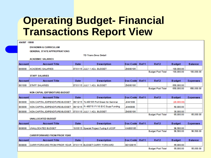### **Operating Budget- Financial Transactions Report View**

| 404567 19900   |                                                            |             |                                           |          |       |                          |               |                 |
|----------------|------------------------------------------------------------|-------------|-------------------------------------------|----------|-------|--------------------------|---------------|-----------------|
|                | <b>DIV/ADMIN &amp; CURRICULUM</b>                          |             |                                           |          |       |                          |               |                 |
|                | <b>GENERAL STATE APPROPRIATIONS</b>                        |             |                                           |          |       |                          |               |                 |
|                | <b>TD Trans Desc Detail</b>                                |             |                                           |          |       |                          |               |                 |
|                | <b>ACADEMIC SALARIES</b>                                   |             |                                           |          |       |                          |               |                 |
| <b>Account</b> | <b>Account Title</b>                                       | <b>Date</b> | <b>Description</b>                        | Doc Code | Ref 1 | Ref <sub>2</sub>         | <b>Budget</b> | <b>Balance</b>  |
| <b>B00000</b>  | <b>ACADEMIC SALARIES</b>                                   |             | 07/01/15 JULY 1 ADJ. BUDGET               | ZN000106 |       |                          | 100,000.00    |                 |
|                |                                                            |             |                                           |          |       | <b>Budget Pool Total</b> | 100.000.00    | 100.000.00      |
|                | <b>STAFF SALARIES</b>                                      |             |                                           |          |       |                          |               |                 |
| <b>Account</b> | <b>Account Title</b>                                       | <b>Date</b> | <b>Description</b>                        | Doc Code | Ref 1 | Ref <sub>2</sub>         | <b>Budget</b> | <b>Expenses</b> |
| <b>B01000</b>  | <b>STAFF SALARIES</b>                                      |             | 07/01/15 JULY 1 ADJ, BUDGET               | ZN000106 |       |                          | 650,000.00    |                 |
|                |                                                            |             |                                           |          |       | <b>Budget Pool Total</b> | 650,000.00    | 650,000.00      |
|                | NON-CAPIAL EXPENDITURE-BUDGET                              |             |                                           |          |       |                          |               |                 |
|                |                                                            |             |                                           |          |       |                          |               |                 |
| <b>Account</b> | <b>Account Title</b>                                       | Date        | <b>Description</b>                        | Doc Code | Ref 1 | Ref <sub>2</sub>         | <b>Budget</b> | <b>Expenses</b> |
| <b>B03000</b>  | NON-CAPITAL EXPENDITURE-BUDGET                             |             | 09/12/15 To 400106 Prof Green for Seminar | J0441000 |       |                          | (20,000,00)   |                 |
| <b>B03000</b>  | NON-CAPITAL EXPENDITURE-BUDGET                             |             | 09/10/15 Fr 400710 FY16 EVC Supp Funding  | J0440000 |       |                          | 50,000.00     |                 |
| <b>B03000</b>  | NON-CAPITAL EXPENDITURE-BUDGET                             |             | 07/01/15 JULY 1 ADJ, BUDGET               | ZN000106 |       |                          | 35,000.00     |                 |
|                |                                                            |             |                                           |          |       | <b>Budget Pool Total</b> | 65,000.00     | 65,000.00       |
|                | <b>UNALLOCATED BUDGET</b>                                  |             |                                           |          |       |                          |               |                 |
| <b>Account</b> | <b>Account Title</b>                                       | Date        | <b>Description</b>                        | Doc Code | Ref 1 | Ref <sub>2</sub>         | <b>Budget</b> | <b>Expenses</b> |
| <b>B08000</b>  | <b>UNALLOCATED BUDGET</b>                                  |             | 10/05/15 Special Project Fuding fr UCOP   | KA000105 |       |                          | 98,500.00     |                 |
|                |                                                            |             |                                           |          |       | <b>Budget Pool Total</b> | 98.500.00     | 98.500.00       |
|                | <b>CARRYFORWARD FROM PRIOR YEAR</b>                        |             |                                           |          |       |                          |               |                 |
| <b>Account</b> | <b>Account Title</b>                                       | <b>Date</b> | <b>Description</b>                        | Doc Code | Ref 1 | Ref <sub>2</sub>         | <b>Budget</b> | <b>Balance</b>  |
| <b>B08800</b>  | CARRYFORWARD FROM PRIOR YEAR 07/01/15 BUDGET CARRY FORWARD |             |                                           | BD120015 |       |                          | 55,000.00     |                 |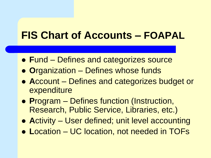- ⚫ **F**und Defines and categorizes source
- ⚫ **O**rganization Defines whose funds
- ⚫ **A**ccount Defines and categorizes budget or expenditure
- ⚫ **P**rogram Defines function (Instruction, Research, Public Service, Libraries, etc.)
- ⚫ **A**ctivity User defined; unit level accounting
- ⚫ **L**ocation UC location, not needed in TOFs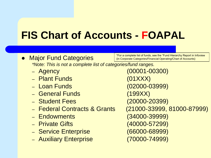- Major Fund Categories *\*Note: This is not a complete list of categories/fund ranges.* \*For a complete list of funds, see the "Fund Hierarchy Report in Infoview (in Corporate Categories/Financial Operating/Chart of Accounts)
	-
	- Plant Funds (01XXX)
	-
	- General Funds (199XX)
	- Student Fees (20000-20399)
	- Federal Contracts & Grants (21000-33999, 81000-87999)
	- Endowments (34000-39999)
	-
	- Service Enterprise (66000-68999)
	- Auxiliary Enterprise (70000-74999)

– Agency (00001-00300) – Loan Funds (02000-03999) – Private Gifts (40000-57299)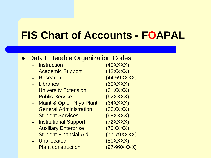#### ● Data Enterable Organization Codes

– Instruction (40XXXX) – Academic Support (43XXXX) – Research (44-59XXXX) – Libraries (60XXXX) – University Extension (61XXXX) – Public Service (62XXXX) – Maint & Op of Phys Plant (64XXXX) – General Administration (66XXXX) – Student Services (68XXXX) – Institutional Support (72XXXX) – Auxiliary Enterprise (76XXXX) – Student Financial Aid (77-79XXXX) – Unallocated (80XXXX) – Plant construction (97-99XXXX)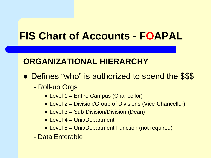#### **ORGANIZATIONAL HIERARCHY**

- Defines "who" is authorized to spend the \$\$\$
	- Roll-up Orgs
		- Level 1 = Entire Campus (Chancellor)
		- Level 2 = Division/Group of Divisions (Vice-Chancellor)
		- Level 3 = Sub-Division/Division (Dean)
		- Level 4 = Unit/Department
		- Level 5 = Unit/Department Function (not required)
	- Data Enterable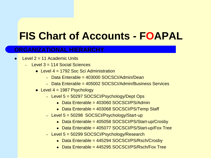#### **ORGANIZATIONAL HIERARCHY**

- Level  $2 = 11$  Academic Units
	- $-$  Level  $3 = 114$  Social Sciences
		- $\bullet$  Level 4 = 1792 Soc Sci Administration
			- Data Enterable = 403000 SOCSCI/Admin/Dean
			- Data Enterable = 405002 SOCSCI/Admin/Business Services
		- $\bullet$  Level 4 = 1987 Psychology
			- Level 5 = 50297 SOCSCI/Psychology/Dept Ops
				- Data Enterable = 403060 SOCSCI/PS/Admin
				- Data Enterable = 403068 SOCSCI/PS/Temp Staff
			- Level 5 = 50298 SOCSCI/Psychology/Start-up
				- ⚫ Data Enterable = 405058 SOCSCI/PS/Start-up/Crosby
				- Data Enterable = 405077 SOCSCI/PS/Start-up/Fox Tree
			- Level 5 = 50299 SOCSCI/Psychology/Research
				- ⚫ Data Enterable = 445294 SOCSCI/PS/Rsch/Crosby
				- Data Enterable = 445295 SOCSCI/PS/Rsch/Eox Tree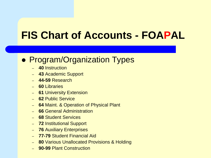#### ⚫ Program/Organization Types

- **40** Instruction
- **43** Academic Support
- **44-59** Research
- **60** Libraries
- **61** University Extension
- **62** Public Service
- **64** Maint. & Operation of Physical Plant
- **66** General Administration
- **68** Student Services
- **72** Institutional Support
- **76** Auxiliary Enterprises
- **77-79** Student Financial Aid
- **80** Various Unallocated Provisions & Holding
- **90-99** Plant Construction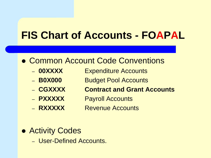#### ● Common Account Code Conventions

- **00XXXX** Expenditure Accounts
- **B0X000** Budget Pool Accounts
- **CGXXXX Contract and Grant Accounts**
- **PXXXXX** Payroll Accounts
- **RXXXXX** Revenue Accounts
- ⚫ Activity Codes
	- User-Defined Accounts.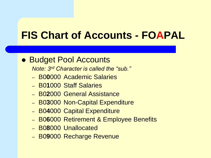#### ● Budget Pool Accounts

*Note: 3rd Character is called the "sub."*

- B0**0**000 Academic Salaries
- B0**1**000 Staff Salaries
- B0**2**000 General Assistance
- B0**3**000 Non-Capital Expenditure
- B0**4**000 Capital Expenditure
- B0**6**000 Retirement & Employee Benefits
- B0**8**000 Unallocated
- B0**9**000 Recharge Revenue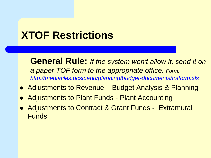## **XTOF Restrictions**

**General Rule:** *If the system won't allow it, send it on a paper TOF form to the appropriate office. Form: <http://mediafiles.ucsc.edu/planning/budget-documents/tofform.xls>*

- Adjustments to Revenue Budget Analysis & Planning
- ⚫ Adjustments to Plant Funds Plant Accounting
- Adjustments to Contract & Grant Funds Extramural Funds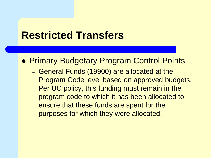#### **Restricted Transfers**

● Primary Budgetary Program Control Points

– General Funds (19900) are allocated at the Program Code level based on approved budgets. Per UC policy, this funding must remain in the program code to which it has been allocated to ensure that these funds are spent for the purposes for which they were allocated.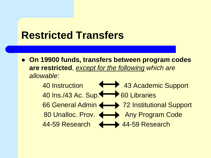#### **Restricted Transfers**

⚫ **On 19900 funds, transfers between program codes are restricted**, *except for the following which are allowable*:

> 40 Instruction **43 Academic Support** 40 Ins./43 Ac. Sup. **60 Libraries** 66 General Admin <>>>>>>>> 72 Institutional Support 80 Unalloc. Prov.  $\leftarrow$  Any Program Code 44-59 Research 44-59 Research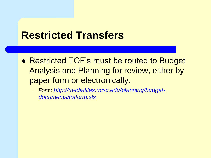#### **Restricted Transfers**

- ⚫ Restricted TOF's must be routed to Budget Analysis and Planning for review, either by paper form or electronically.
	- *Form: [http://mediafiles.ucsc.edu/planning/budget](http://mediafiles.ucsc.edu/planning/budget-documents/tofform.xls)documents/tofform.xls*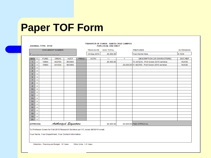### **Paper TOF Form**

#### **JOURNAL TYPE: XTOF**

#### TRANSFER OF FUNDS - SANTA CRUZ CAMPUS **FOR LOCAL USE ONLY**

|                 |                           |             | <b>DOCUMENT NUMBER</b> |                      |             | <b>TRAN DATE</b> | <b>DOC TOTAL</b>         |     | <b>PREPARER</b>                               | <b>EXTENSION</b> |
|-----------------|---------------------------|-------------|------------------------|----------------------|-------------|------------------|--------------------------|-----|-----------------------------------------------|------------------|
|                 |                           |             |                        |                      |             | 12-Sep-2015      | 40,000.00                |     | Your Name Here                                | 9-1234           |
|                 |                           |             |                        |                      |             |                  |                          |     |                                               |                  |
| <b>SEQ</b>      | c                         | <b>FUND</b> | <b>ORGN</b>            | <b>ACCT</b>          | <b>PROG</b> | <b>ACTIV</b>     | $\overline{\phantom{0}}$ | $+$ | <b>DESCRIPTION (35 CHARACTERS)</b>            | <b>DOC REF</b>   |
| 1               | х                         | 19900       | 402700                 | B03000               |             |                  | 20,000.00                |     | To 441234 - Prof Green 2015 seminar           | <b>HU030</b>     |
| $\overline{2}$  | х                         | 19900       | 441234                 | B03000               |             |                  |                          |     | 20,000.00 Fr 402700 - Prof Green 2015 seminar | <b>HU030</b>     |
| 3               | х                         |             |                        |                      |             |                  |                          |     |                                               |                  |
| $\overline{4}$  | X                         |             |                        |                      |             |                  |                          |     |                                               |                  |
| 5               | х                         |             |                        |                      |             |                  |                          |     |                                               |                  |
| 6               | X                         |             |                        |                      |             |                  |                          |     |                                               |                  |
| $\overline{7}$  | X                         |             |                        |                      |             |                  |                          |     |                                               |                  |
| 8               | х                         |             |                        |                      |             |                  |                          |     |                                               |                  |
| 9               | X                         |             |                        |                      |             |                  |                          |     |                                               |                  |
| 10 <sub>1</sub> | х                         |             |                        |                      |             |                  |                          |     |                                               |                  |
| 11              | $\boldsymbol{\mathsf{x}}$ |             |                        |                      |             |                  |                          |     |                                               |                  |
| 12              | х                         |             |                        |                      |             |                  |                          |     |                                               |                  |
| 13              | х                         |             |                        |                      |             |                  |                          |     |                                               |                  |
| 14              | х                         |             |                        |                      |             |                  |                          |     |                                               |                  |
| 15              | x                         |             |                        |                      |             |                  |                          |     |                                               |                  |
| 16              | х                         |             |                        |                      |             |                  |                          |     |                                               |                  |
| 17              | X                         |             |                        |                      |             |                  |                          |     |                                               |                  |
| 18              | х                         |             |                        |                      |             |                  |                          |     |                                               |                  |
| 19              | х                         |             |                        |                      |             |                  |                          |     |                                               |                  |
| 20              | x                         |             |                        |                      |             |                  |                          |     |                                               |                  |
| <b>APPROVAL</b> |                           |             |                        | Authorized Signature |             |                  | 20,000.00                |     | 20,000.00 P&B APPROVAL                        |                  |

To Professor Green for Fall 2015 Research Seminar per VC Jones 08/30/15 email.

Your Name, Your Department, Your Contact Information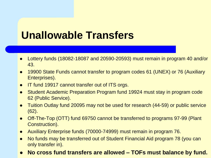#### **Unallowable Transfers**

- ⚫ Lottery funds (18082-18087 and 20590-20593) must remain in program 40 and/or 43.
- ⚫ 19900 State Funds cannot transfer to program codes 61 (UNEX) or 76 (Auxiliary Enterprises).
- IT fund 19917 cannot transfer out of ITS orgs.
- ⚫ Student Academic Preparation Program fund 19924 must stay in program code 62 (Public Service).
- Tuition Outlay fund 20095 may not be used for research (44-59) or public service (62).
- Off-The-Top (OTT) fund 69750 cannot be transferred to programs 97-99 (Plant Construction).
- ⚫ Auxiliary Enterprise funds (70000-74999) must remain in program 76.
- ⚫ No funds may be transferred out of Student Financial Aid program 78 (you can only transfer in).
- ⚫ **No cross fund transfers are allowed – TOFs must balance by fund.**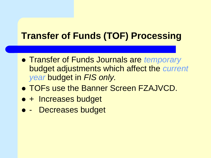#### **Transfer of Funds (TOF) Processing**

- ⚫ Transfer of Funds Journals are *temporary* budget adjustments which affect the *current year* budget in *FIS only.*
- ⚫ TOFs use the Banner Screen FZAJVCD.
- + Increases budget
- ⚫ Decreases budget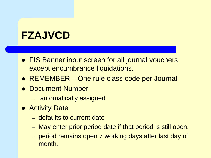### **FZAJVCD**

- FIS Banner input screen for all journal vouchers except encumbrance liquidations.
- REMEMBER One rule class code per Journal
- ⚫ Document Number
	- automatically assigned
- **Activity Date** 
	- defaults to current date
	- May enter prior period date if that period is still open.
	- period remains open 7 working days after last day of month.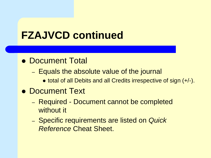#### **FZAJVCD continued**

#### ● Document Total

- Equals the absolute value of the journal
	- total of all Debits and all Credits irrespective of sign (+/-).

#### ⚫ Document Text

- Required Document cannot be completed without it
- Specific requirements are listed on *Quick Reference* Cheat Sheet.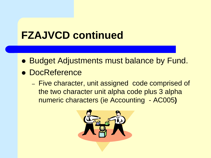## **FZAJVCD continued**

- Budget Adjustments must balance by Fund.
- ⚫ DocReference
	- Five character, unit assigned code comprised of the two character unit alpha code plus 3 alpha numeric characters (ie Accounting - AC005**)**

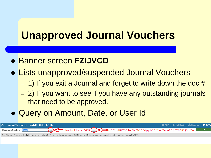## **Unapproved Journal Vouchers**

- ⚫ Banner screen **FZIJVCD**
- ⚫ Lists unapproved/suspended Journal Vouchers
	- $-$  1) If you exit a Journal and forget to write down the doc  $#$
	- 2) If you want to see if you have any outstanding journals that need to be approved.
- ⚫ Query on Amount, Date, or User Id

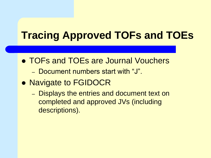# **Tracing Approved TOFs and TOEs**

- ⚫ TOFs and TOEs are Journal Vouchers
	- Document numbers start with "J".
- ⚫ Navigate to FGIDOCR
	- Displays the entries and document text on completed and approved JVs (including descriptions).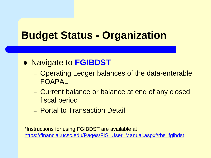#### **Budget Status - Organization**

#### ⚫ Navigate to **FGIBDST**

- Operating Ledger balances of the data-enterable FOAPAL
- Current balance or balance at end of any closed fiscal period
- Portal to Transaction Detail

\*Instructions for using FGIBDST are available at [https://financial.ucsc.edu/Pages/FIS\\_User\\_Manual.aspx#rbs\\_fgibdst](https://financial.ucsc.edu/Pages/FIS_User_Manual.aspx#rbs_fgibdst)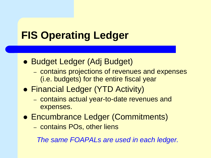# **FIS Operating Ledger**

- Budget Ledger (Adj Budget)
	- contains projections of revenues and expenses (i.e. budgets) for the entire fiscal year
- ⚫ Financial Ledger (YTD Activity)
	- contains actual year-to-date revenues and expenses.
- Encumbrance Ledger (Commitments)
	- contains POs, other liens

*The same FOAPALs are used in each ledger.*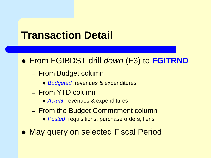#### **Transaction Detail**

- ⚫ From FGIBDST drill *down* (F3) to **FGITRND**
	- From Budget column
		- ⚫ *Budgeted* revenues & expenditures
	- From YTD column
		- ⚫ *Actual* revenues & expenditures
	- From the Budget Commitment column
		- ⚫ *Posted* requisitions, purchase orders, liens
- May query on selected Fiscal Period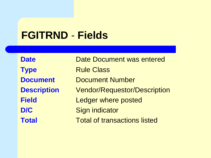#### **FGITRND** - **Fields**

| <b>Date</b>        | <b>Date Document was entered</b>    |
|--------------------|-------------------------------------|
| <b>Type</b>        | <b>Rule Class</b>                   |
| <b>Document</b>    | <b>Document Number</b>              |
| <b>Description</b> | <b>Vendor/Requestor/Description</b> |
| <b>Field</b>       | Ledger where posted                 |
| D/C                | <b>Sign indicator</b>               |
| <b>Total</b>       | <b>Total of transactions listed</b> |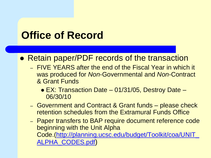## **Office of Record**

#### ⚫ Retain paper/PDF records of the transaction

- FIVE YEARS after the end of the Fiscal Year in which it was produced for *Non*-Governmental and *Non-*Contract & Grant Funds
	- EX: Transaction Date 01/31/05, Destroy Date 06/30/10
- Government and Contract & Grant funds please check retention schedules from the Extramural Funds Office
- Paper transfers to BAP require document reference code beginning with the Unit Alpha [Code.\(http://planning.ucsc.edu/budget/Toolkit/coa/UNIT\\_](http://planning.ucsc.edu/budget/Toolkit/coa/UNIT_ALPHA_CODES.pdf) ALPHA\_CODES.pdf)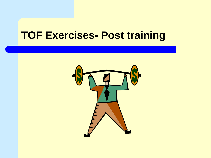# **TOF Exercises- Post training**